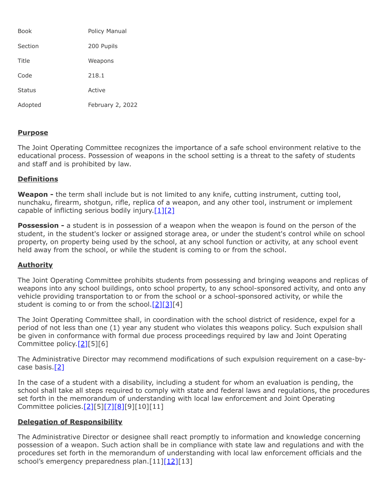| <b>Book</b>   | Policy Manual    |
|---------------|------------------|
| Section       | 200 Pupils       |
| Title         | Weapons          |
| Code          | 218.1            |
| <b>Status</b> | Active           |
| Adopted       | February 2, 2022 |

### **Purpose**

The Joint Operating Committee recognizes the importance of a safe school environment relative to the educational process. Possession of weapons in the school setting is a threat to the safety of students and staff and is prohibited by law.

## **Definitions**

Weapon - the term shall include but is not limited to any knife, cutting instrument, cutting tool, nunchaku, firearm, shotgun, rifle, replica of a weapon, and any other tool, instrument or implement capable of inflicting serious bodily injury. $[1][2]$  $[1][2]$ 

**Possession -** a student is in possession of a weapon when the weapon is found on the person of the student, in the student's locker or assigned storage area, or under the student's control while on school property, on property being used by the school, at any school function or activity, at any school event held away from the school, or while the student is coming to or from the school.

### **Authority**

The Joint Operating Committee prohibits students from possessing and bringing weapons and replicas of weapons into any school buildings, onto school property, to any school-sponsored activity, and onto any vehicle providing transportation to or from the school or a school-sponsored activity, or while the student is coming to or from the school. $[2][3][4]$  $[2][3][4]$  $[2][3][4]$ 

The Joint Operating Committee shall, in coordination with the school district of residence, expel for a period of not less than one (1) year any student who violates this weapons policy. Such expulsion shall be given in conformance with formal due process proceedings required by law and Joint Operating Committee policy.[\[2\]\[](http://www.legis.state.pa.us/cfdocs/legis/LI/uconsCheck.cfm?txtType=HTM&yr=1949&sessInd=0&smthLwInd=0&act=14&chpt=13&sctn=17&subsctn=2)5][6]

The Administrative Director may recommend modifications of such expulsion requirement on a case-bycase basis.[\[2\]](http://www.legis.state.pa.us/cfdocs/legis/LI/uconsCheck.cfm?txtType=HTM&yr=1949&sessInd=0&smthLwInd=0&act=14&chpt=13&sctn=17&subsctn=2)

In the case of a student with a disability, including a student for whom an evaluation is pending, the school shall take all steps required to comply with state and federal laws and regulations, the procedures set forth in the memorandum of understanding with local law enforcement and Joint Operating Committee policies[.\[2\]](http://www.legis.state.pa.us/cfdocs/legis/LI/uconsCheck.cfm?txtType=HTM&yr=1949&sessInd=0&smthLwInd=0&act=14&chpt=13&sctn=17&subsctn=2)[5][\[7\]](http://www.law.cornell.edu/uscode/text/20/chapter-33)[\[8\]](http://pacodeandbulletin.gov/Display/pacode?file=/secure/pacode/data/022/chapter10/s10.23.html&d=reduce)[9][10][11]

### **Delegation of Responsibility**

The Administrative Director or designee shall react promptly to information and knowledge concerning possession of a weapon. Such action shall be in compliance with state law and regulations and with the procedures set forth in the memorandum of understanding with local law enforcement officials and the school's emergency preparedness plan.[11[\]\[12\]\[](http://www.legis.state.pa.us/cfdocs/legis/LI/uconsCheck.cfm?txtType=HTM&yr=1949&sessInd=0&smthLwInd=0&act=14&chpt=13A&sctn=2&subsctn=1)13]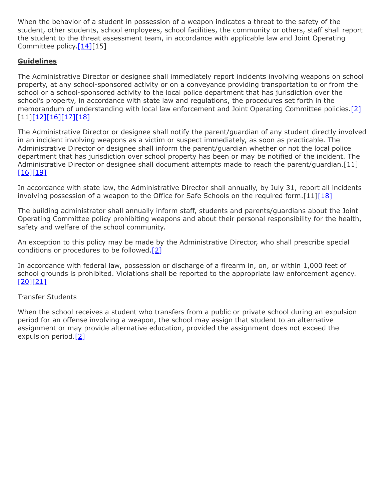When the behavior of a student in possession of a weapon indicates a threat to the safety of the student, other students, school employees, school facilities, the community or others, staff shall report the student to the threat assessment team, in accordance with applicable law and Joint Operating Committee policy.[\[14\]\[](https://www.legis.state.pa.us/cfdocs/legis/LI/uconsCheck.cfm?txtType=HTM&yr=1949&sessInd=0&smthLwInd=0&act=14&chpt=13E&sctn=2&subsctn=0)15]

# **Guidelines**

The Administrative Director or designee shall immediately report incidents involving weapons on school property, at any school-sponsored activity or on a conveyance providing transportation to or from the school or a school-sponsored activity to the local police department that has jurisdiction over the school's property, in accordance with state law and regulations, the procedures set forth in the memorandum of understanding with local law enforcement and Joint Operating Committee policies.[\[2\]](http://www.legis.state.pa.us/cfdocs/legis/LI/uconsCheck.cfm?txtType=HTM&yr=1949&sessInd=0&smthLwInd=0&act=14&chpt=13&sctn=17&subsctn=2) [11]<u>[\[12\]](http://www.legis.state.pa.us/cfdocs/legis/LI/uconsCheck.cfm?txtType=HTM&yr=1949&sessInd=0&smthLwInd=0&act=14&chpt=13A&sctn=2&subsctn=1)[\[16\]](http://pacodeandbulletin.gov/Display/pacode?file=/secure/pacode/data/022/chapter10/s10.2.html&d=reduce)[\[17\]](http://pacodeandbulletin.gov/Display/pacode?file=/secure/pacode/data/022/chapter10/s10.21.html&d=reduce)[\[18\]](http://www.legis.state.pa.us/cfdocs/legis/LI/uconsCheck.cfm?txtType=HTM&yr=1949&sessInd=0&smthLwInd=0&act=14&chpt=13A&sctn=3&subsctn=0)</u>

The Administrative Director or designee shall notify the parent/guardian of any student directly involved in an incident involving weapons as a victim or suspect immediately, as soon as practicable. The Administrative Director or designee shall inform the parent/guardian whether or not the local police department that has jurisdiction over school property has been or may be notified of the incident. The Administrative Director or designee shall document attempts made to reach the parent/guardian.[11] [\[16\]](http://pacodeandbulletin.gov/Display/pacode?file=/secure/pacode/data/022/chapter10/s10.2.html&d=reduce)[\[19\]](http://pacodeandbulletin.gov/Display/pacode?file=/secure/pacode/data/022/chapter10/s10.25.html&d=reduce)

In accordance with state law, the Administrative Director shall annually, by July 31, report all incidents involving possession of a weapon to the Office for Safe Schools on the required form. [11][\[18\]](http://www.legis.state.pa.us/cfdocs/legis/LI/uconsCheck.cfm?txtType=HTM&yr=1949&sessInd=0&smthLwInd=0&act=14&chpt=13A&sctn=3&subsctn=0)

The building administrator shall annually inform staff, students and parents/guardians about the Joint Operating Committee policy prohibiting weapons and about their personal responsibility for the health, safety and welfare of the school community.

An exception to this policy may be made by the Administrative Director, who shall prescribe special conditions or procedures to be followed. $[2]$ 

In accordance with federal law, possession or discharge of a firearm in, on, or within 1,000 feet of school grounds is prohibited. Violations shall be reported to the appropriate law enforcement agency. [\[20\]](http://www.law.cornell.edu/uscode/text/18/921)[\[21\]](http://www.law.cornell.edu/uscode/text/18/922)

### Transfer Students

When the school receives a student who transfers from a public or private school during an expulsion period for an offense involving a weapon, the school may assign that student to an alternative assignment or may provide alternative education, provided the assignment does not exceed the expulsion period.[\[2\]](http://www.legis.state.pa.us/cfdocs/legis/LI/uconsCheck.cfm?txtType=HTM&yr=1949&sessInd=0&smthLwInd=0&act=14&chpt=13&sctn=17&subsctn=2)